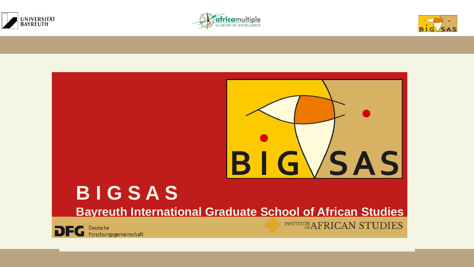







### **B I G S A S Bayreuth International Graduate School of African Studies**



Deutsche<br>Forschungsgemeinschaft

INSTITUTE AFRICAN STUDIES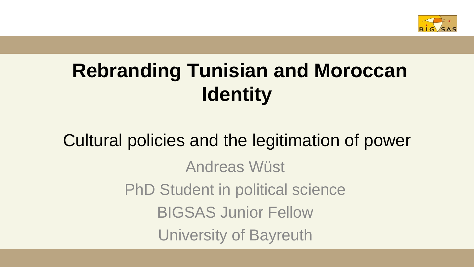

### **Rebranding Tunisian and Moroccan Identity**

### Cultural policies and the legitimation of power Andreas Wüst PhD Student in political science BIGSAS Junior Fellow University of Bayreuth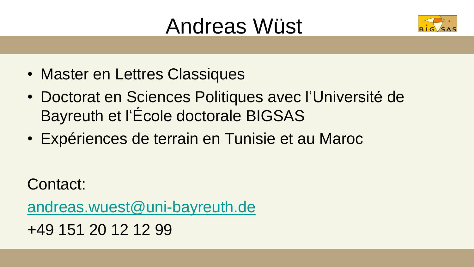### Andreas Wüst



- Master en Lettres Classiques
- Doctorat en Sciences Politiques avec l'Université de Bayreuth et l'École doctorale BIGSAS
- Expériences de terrain en Tunisie et au Maroc

Contact:

[andreas.wuest@uni-bayreuth.de](mailto:andreas.wuest@uni-bayreuth.de)

+49 151 20 12 12 99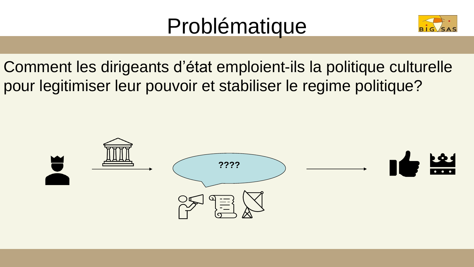## Problématique



Comment les dirigeants d'état emploient-ils la politique culturelle pour legitimiser leur pouvoir et stabiliser le regime politique?

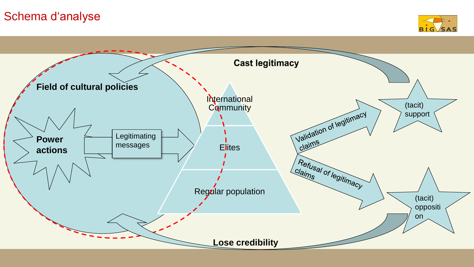#### Schema d'analyse



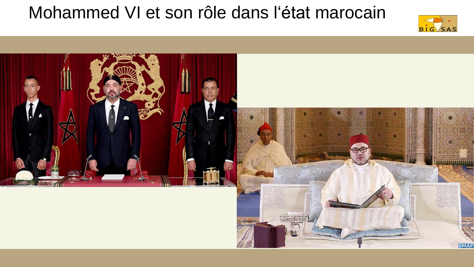#### Mohammed VI et son rôle dans l'état marocain



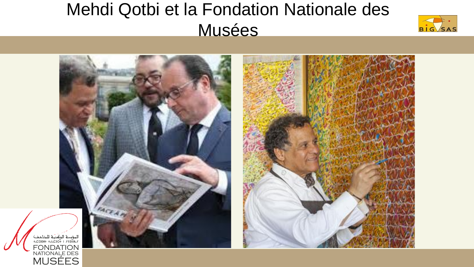### Mehdi Qotbi et la Fondation Nationale des **Musées**



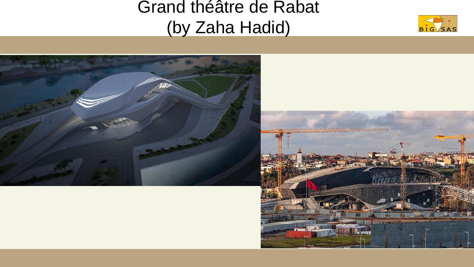#### Grand théâtre de Rabat (by Zaha Hadid)



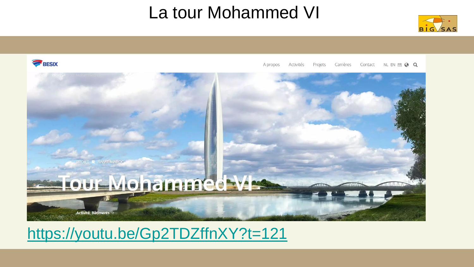#### La tour Mohammed VI





Activités Projets Carrières Contact NL EN ER @ Q A propos



#### <https://youtu.be/Gp2TDZffnXY?t=121>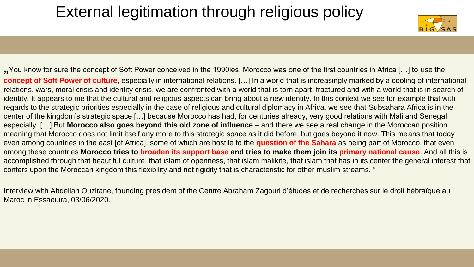#### External legitimation through religious policy



"You know for sure the concept of Soft Power conceived in the 1990ies. Morocco was one of the first countries in Africa […] to use the **concept of Soft Power of culture**, especially in international relations. […] In a world that is increasingly marked by a cooling of international relations, wars, moral crisis and identity crisis, we are confronted with a world that is torn apart, fractured and with a world that is in search of identity. It appears to me that the cultural and religious aspects can bring about a new identity. In this context we see for example that with regards to the strategic priorities especially in the case of religious and cultural diplomacy in Africa, we see that Subsahara Africa is in the center of the kingdom's strategic space […] because Morocco has had, for centuries already, very good relations with Mali and Senegal especially. […] But **Morocco also goes beyond this old zone of influence** – and there we see a real change in the Moroccan position meaning that Morocco does not limit itself any more to this strategic space as it did before, but goes beyond it now. This means that today even among countries in the east [of Africa], some of which are hostile to the **question of the Sahara** as being part of Morocco, that even among these countries **Morocco tries to broaden its support base and tries to make them join its primary national cause**. And all this is accomplished through that beautiful culture, that islam of openness, that islam malikite, that islam that has in its center the general interest that confers upon the Moroccan kingdom this flexibility and not rigidity that is characteristic for other muslim streams. "

Interview with Abdellah Ouzitane, founding president of the Centre Abraham Zagouri d'études et de recherches sur le droit hébraïque au Maroc in Essaouira, 03/06/2020.